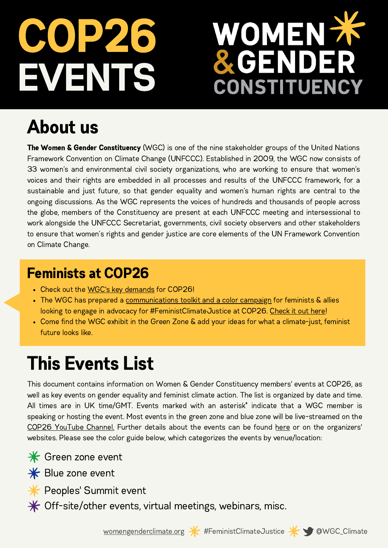# EVEN. COP26

# OMEN X **CONSTITUENCY**

## About us

The Women & Gender Constituency (WGC) is one of the nine stakeholder groups of the United Nations Framework Convention on Climate Change (UNFCCC). Established in 2009, the WGC now consists of 33 women's and environmental civil society organizations, who are working to ensure that women's voices and their rights are embedded in all processes and results of the UNFCCC framework, for a sustainable and just future, so that gender equality and women's human rights are central to the ongoing discussions. As the WGC represents the voices of hundreds and thousands of people across the globe, members of the Constituency are present at each UNFCCC meeting and intersessional to work alongside the UNFCCC Secretariat, governments, civil society observers and other stakeholders to ensure that women's rights and gender justice are core elements of the UN Framework Convention on Climate Change.

#### Feminists at COP26

- Check out the WGC's key [demands](http://bit.ly/WGCDemands-COP26) for COP26!
- The WGC has prepared a [communications](http://bit.ly/FeministsAtCOP26) toolkit and a color campaign for feminists & allies looking to engage in advocacy for #FeministClimateJustice at COP26. [Check](http://bit.ly/FeministsAtCOP26) it out here!
- Come find the WGC exhibit in the Green Zone & add your ideas for what a climate-just, feminist future looks like.

## This Events List

This document contains information on Women & Gender Constituency members' events at COP26, as well as key events on gender equality and feminist climate action. The list is organized by date and time. All times are in UK time/GMT. Events marked with an asterisk\* indicate that a WGC member is speaking or hosting the event. Most events in the green zone and blue zone will be live-streamed on the COP26 [YouTube](https://www.youtube.com/c/cop26) Channel. Further details about the events can be found [here](https://docs.google.com/spreadsheets/d/10Jk9znbhc6w9iwsxRTJE032JO2RQ6X4WrJh7h0ZF2OY/edit?usp=sharing) or on the organizers' websites. Please see the color guide below, which categorizes the events by venue/location:

**\*** Green zone event



**\*** Blue zone event

**<del></del>** Peoples' Summit event

 $*$  Off-site/other events, virtual meetings, webinars, misc.

[womengenderclimate.org](http://womengenderclimate.org/) \* #FeministClimateJustice \* WGC\_Climate



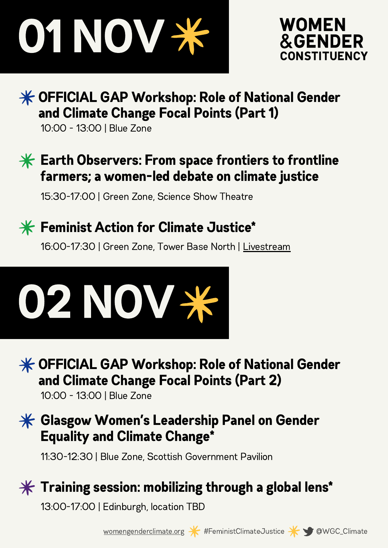



#### $\mathcal K$  **OFFICIAL GAP Workshop: Role of National Gender** and Climate Change Focal Points (Part 1)

10:00 - 13:00 | Blue Zone

#### $\frac{1}{2}$  Earth Observers: From space frontiers to frontline farmers; a women-led debate on climate justice

15:30-17:00 | Green Zone, Science Show Theatre

### $*$  Feminist Action for Climate Justice\*

16:00-17:30 | Green Zone, Tower Base North | [Livestream](https://youtu.be/66Alpbq5Urk)



 $\mathcal K$  **OFFICIAL GAP Workshop: Role of National Gender** and Climate Change Focal Points (Part 2)

10:00 - 13:00 | Blue Zone

#### $\mathcal H$  Glasgow Women's Leadership Panel on Gender Equality and Climate Change\*

11:30-12:30 | Blue Zone, Scottish Government Pavilion

### $\mathcal K$  Training session: mobilizing through a global lens\*

13:00-17:00 | Edinburgh, location TBD





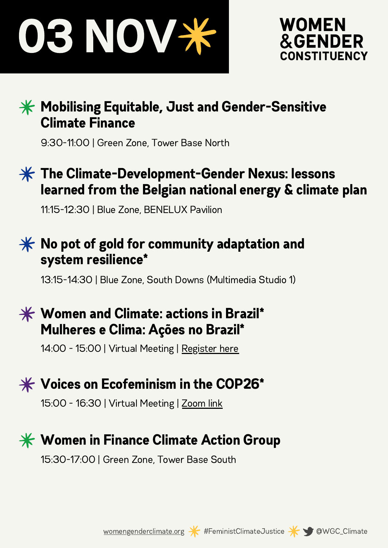



#### $\frac{1}{100}$  Mobilising Equitable, Just and Gender-Sensitive Climate Finance

9:30-11:00 | Green Zone, Tower Base North

#### $*$  The Climate-Development-Gender Nexus: lessons learned from the Belgian national energy & climate plan

11:15-12:30 | Blue Zone, BENELUX Pavilion

#### $*$  No pot of gold for community adaptation and system resilience\*

13:15-14:30 | Blue Zone, South Downs (Multimedia Studio 1)

#### $\mathbf{\ast}$  Women and Climate: actions in Brazil\* Mulheres e Clima: Ações no Brazil\*

14:00 - 15:00 | Virtual Meeting | [Register](https://forms.gle/QCaV8tGS3pA573PLA) here



#### $*$  Voices on Ecofeminism in the COP26\*

15:00 - 16:30 | Virtual Meeting | [Zoom](https://oxfamintermon.zoom.us/j/94305969955) link

#### $\frac{1}{2}$  **Women in Finance Climate Action Group**

15:30-17:00 | Green Zone, Tower Base South



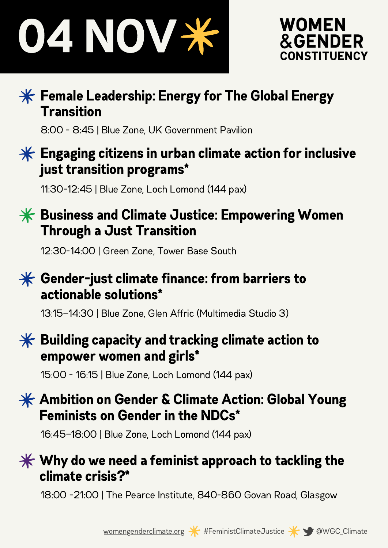



#### $\mathcal K$  Female Leadership: Energy for The Global Energy **Transition**

8:00 - 8:45 | Blue Zone, UK Government Pavilion

#### $*$  Engaging citizens in urban climate action for inclusive just transition programs\*

11:30-12:45 | Blue Zone, Loch Lomond (144 pax)

#### $*$  Business and Climate Justice: Empowering Women Through a Just Transition

12:30-14:00 | Green Zone, Tower Base South

#### $*$  Gender-just climate finance: from barriers to actionable solutions\*

13:15—14:30 | Blue Zone, Glen Affric (Multimedia Studio 3)

#### $\mathbf{\hat{*}}$  Building capacity and tracking climate action to empower women and girls\*

15:00 - 16:15 | Blue Zone, Loch Lomond (144 pax)

#### $\mathbf{\divideontimes}$  Ambition on Gender & Climate Action: Global Young Feminists on Gender in the NDCs\*

16:45—18:00 | Blue Zone, Loch Lomond (144 pax)

#### $\mathbf{\divideontimes}$  Why do we need a feminist approach to tackling the climate crisis?\*

18:00 -21:00 | The Pearce Institute, 840-860 Govan Road, Glasgow



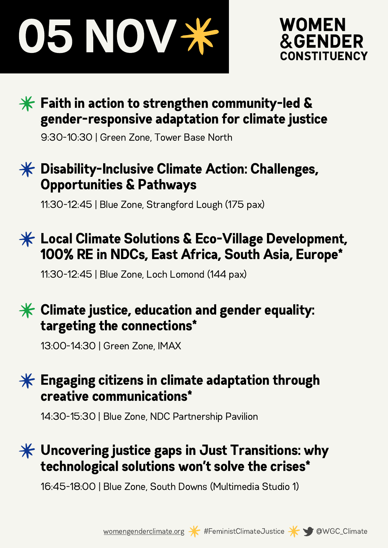



#### $\mathbf{\ast}$  Faith in action to strengthen community-led & gender-responsive adaptation for climate justice

9:30-10:30 | Green Zone, Tower Base North

#### $\frac{1}{2}$  Disability-Inclusive Climate Action: Challenges, Opportunities & Pathways

11:30-12:45 | Blue Zone, Strangford Lough (175 pax)

#### $\frac{1}{100}$  Local Climate Solutions & Eco-Village Development, 100% RE in NDCs, East Africa, South Asia, Europe\*

11:30-12:45 | Blue Zone, Loch Lomond (144 pax)

#### $*$  Climate justice, education and gender equality: targeting the connections\*

13:00-14:30 | Green Zone, IMAX

#### $*$  Engaging citizens in climate adaptation through creative communications\*

14:30-15:30 | Blue Zone, NDC Partnership Pavilion

#### $*$  Uncovering justice gaps in Just Transitions: why technological solutions won't solve the crises\*

16:45-18:00 | Blue Zone, South Downs (Multimedia Studio 1)



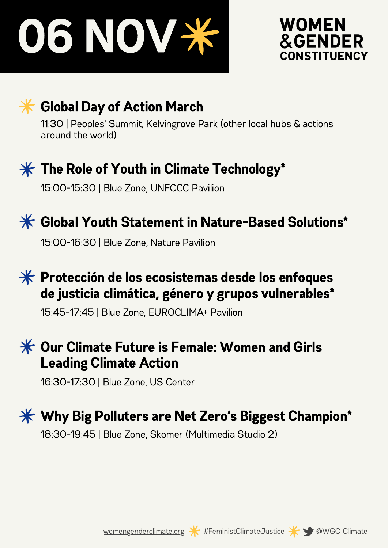



#### **<del></del>** Global Day of Action March

11:30 | Peoples' Summit, Kelvingrove Park (other local hubs & actions around the world)



#### $\mathcal K$  The Role of Youth in Climate Technology\*

15:00-15:30 | Blue Zone, UNFCCC Pavilion



#### $*$  **Global Youth Statement in Nature-Based Solutions\***

15:00-16:30 | Blue Zone, Nature Pavilion

#### $*$  Protección de los ecosistemas desde los enfoques de justicia climática, género y grupos vulnerables\*

15:45-17:45 | Blue Zone, EUROCLIMA+ Pavilion

#### $\mathcal H$  Our Climate Future is Female: Women and Girls Leading Climate Action

16:30-17:30 | Blue Zone, US Center

## $*$  **Why Big Polluters are Net Zero's Biggest Champion\***

18:30-19:45 | Blue Zone, Skomer (Multimedia Studio 2)





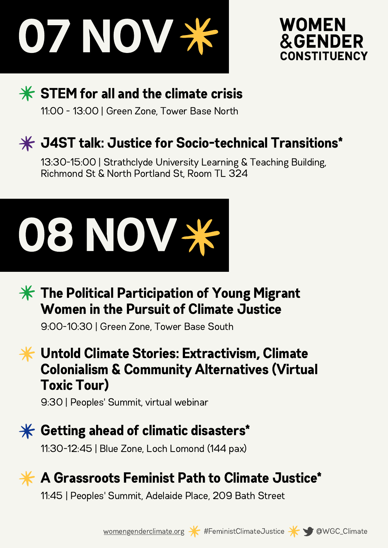



#### $*$  STEM for all and the climate crisis

11:00 - 13:00 | Green Zone, Tower Base North

#### $\frac{1}{2}$  J4ST talk: Justice for Socio-technical Transitions\*

13:30-15:00 | Strathclyde University Learning & Teaching Building, Richmond St & North Portland St, Room TL 324



#### $*$  The Political Participation of Young Migrant Women in the Pursuit of Climate Justice

9:00-10:30 | Green Zone, Tower Base South

Untold Climate Stories: Extractivism, Climate Colonialism & Community Alternatives (Virtual Toxic Tour)

9:30 | Peoples' Summit, virtual webinar



#### $\mathbf{\divideontimes}$  Getting ahead of climatic disasters\*

11:30-12:45 | Blue Zone, Loch Lomond (144 pax)



#### A Grassroots Feminist Path to Climate Justice\*

11:45 | Peoples' Summit, Adelaide Place, 209 Bath Street



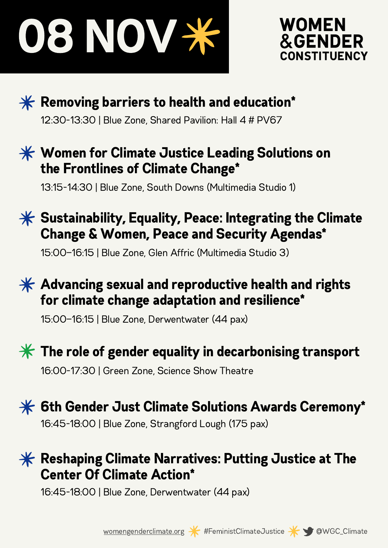





 $*$  Removing barriers to health and education\* 12:30-13:30 | Blue Zone, Shared Pavilion: Hall 4 # PV67

#### $\mathbf{\divideontimes}$  Women for Climate Justice Leading Solutions on the Frontlines of Climate Change\*

13:15-14:30 | Blue Zone, South Downs (Multimedia Studio 1)

#### $\frac{1}{2}$  Sustainability, Equality, Peace: Integrating the Climate Change & Women, Peace and Security Agendas\*

15:00—16:15 | Blue Zone, Glen Affric (Multimedia Studio 3)

#### $\mathbf{\hat{*}}$  Advancing sexual and reproductive health and rights for climate change adaptation and resilience\*

15:00—16:15 | Blue Zone, Derwentwater (44 pax)



#### $*$  The role of gender equality in decarbonising transport

16:00-17:30 | Green Zone, Science Show Theatre



#### $\mathcal K$  Reshaping Climate Narratives: Putting Justice at The Center Of Climate Action\*

16:45-18:00 | Blue Zone, Derwentwater (44 pax)



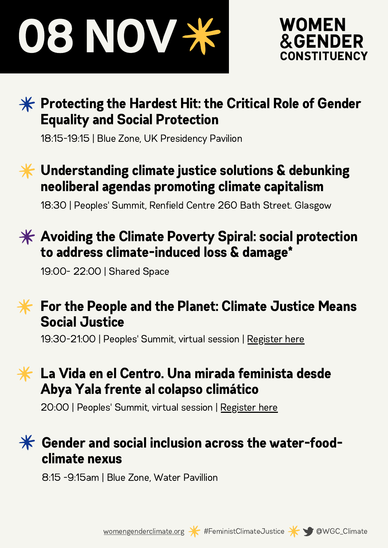



#### $*$  Protecting the Hardest Hit: the Critical Role of Gender Equality and Social Protection

18:15-19:15 | Blue Zone, UK Presidency Pavilion

#### $\mathbf{\ast}$  Understanding climate justice solutions & debunking neoliberal agendas promoting climate capitalism

18:30 | Peoples' Summit, Renfield Centre 260 Bath Street. Glasgow

#### $\mathcal H$  Avoiding the Climate Poverty Spiral: social protection to address climate-induced loss & damage\*

19:00- 22:00 | Shared Space

#### $\bigstar$ For the People and the Planet: Climate Justice Means Social Justice

19:30-21:00 | Peoples' Summit, virtual session | [Register](https://cop26coalition.org/peoples-summit/for-the-people-and-the-planet-climate-justice-means-social-justice-2/) here

#### La Vida en el Centro. Una mirada feminista desde  $\ast$ Abya Yala frente al colapso climático

20:00 | Peoples' Summit, virtual session | [Register](https://cop26coalition.org/peoples-summit/la-vida-en-el-centro-una-mirada-feminista-desde-abya-yala-frente-al-colapso-climatico/) here

#### $\mathcal H$  Gender and social inclusion across the water-foodclimate nexus

8:15 -9:15am | Blue Zone, Water Pavillion



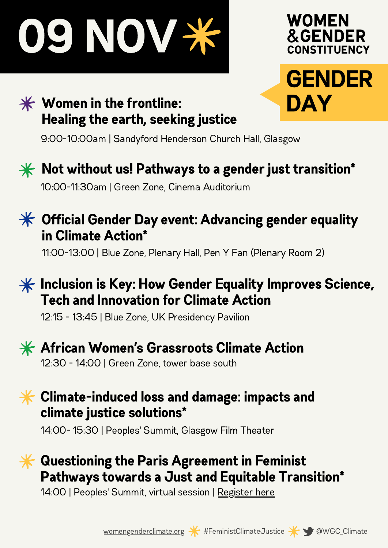



#### $*$  Women in the frontline: Healing the earth, seeking justice

9:00-10:00am | Sandyford Henderson Church Hall, Glasgow



## $\mathbf{\ast}$  Not without us! Pathways to a gender just transition\*

10:00-11:30am | Green Zone, Cinema Auditorium



11:00-13:00 | Blue Zone, Plenary Hall, Pen Y Fan (Plenary Room 2)

#### $\frac{1}{100}$  Inclusion is Key: How Gender Equality Improves Science, Tech and Innovation for Climate Action

12:15 - 13:45 | Blue Zone, UK Presidency Pavilion



### $\frac{1}{2}$  African Women's Grassroots Climate Action

12:30 - 14:00 | Green Zone, tower base south

#### $\mathbf{\ast}$  Climate-induced loss and damage: impacts and climate justice solutions\*

14:00- 15:30 | Peoples' Summit, Glasgow Film Theater

#### Questioning the Paris Agreement in Feminist Pathways towards a Just and Equitable Transition\*

14:00 | Peoples' Summit, virtual session | [Register](https://cop26coalition.org/peoples-summit/questioning-the-paris-agreement-in-feminist-pathways-towards-a-just-and-equitable-transition/) here



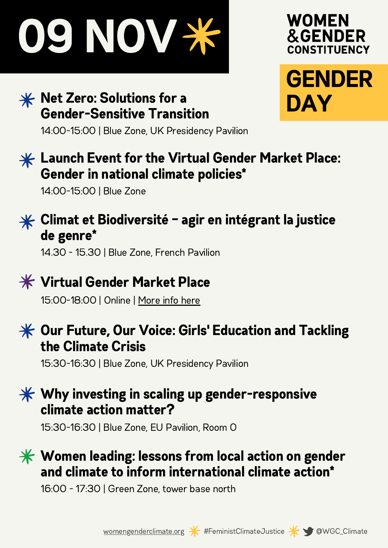

#### $*$  Net Zero: Solutions for a Gender-Sensitive Transition



14:00-15:00 | Blue Zone, UK Presidency Pavilion

#### $*$  Launch Event for the Virtual Gender Market Place: Gender in national climate policies\*

14:00-15:00 | Blue Zone



#### $*$  Climat et Biodiversité – agir en intégrant la justice de genre\*

14.30 - 15.30 | Blue Zone, French Pavilion



### Virtual Gender Market Place

15:00-18:00 | Online | [More](https://unfccc.int/topics/gender/events-meetings/gender-day-other-events-at-cops/gender-women-at-cop-26) info here



#### $\mathcal K$  Our Future, Our Voice: Girls' Education and Tackling the Climate Crisis

15:30-16:30 | Blue Zone, UK Presidency Pavilion

#### $\mathbf{\divideontimes}$  Why investing in scaling up gender-responsive climate action matter?

15:30-16:30 | Blue Zone, EU Pavilion, Room O

#### $\mathcal H$  Women leading: lessons from local action on gender and climate to inform international climate action\*

16:00 - 17:30 | Green Zone, tower base north





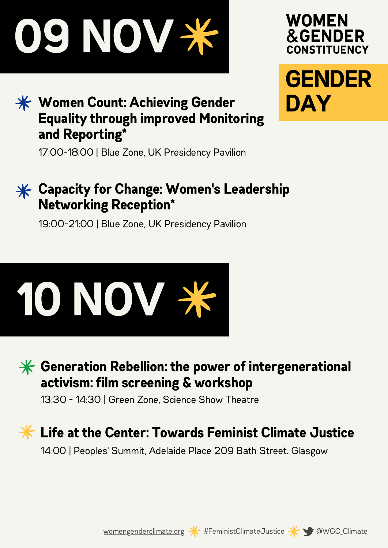

#### $\mathbf{\ast}$  **Women Count: Achieving Gender** Equality through improved Monitoring and Reporting\*

**&GENDER** CONSTITUENCY GENDER

**WOMEN** 

DAY

17:00-18:00 | Blue Zone, UK Presidency Pavilion

#### $*$  **Capacity for Change: Women's Leadership** Networking Reception\*

19:00-21:00 | Blue Zone, UK Presidency Pavilion





 $\mathcal K$  Generation Rebellion: the power of intergenerational activism: film screening & workshop

13:30 - 14:30 | Green Zone, Science Show Theatre

## Life at the Center: Towards Feminist Climate Justice

14:00 | Peoples' Summit, Adelaide Place 209 Bath Street. Glasgow





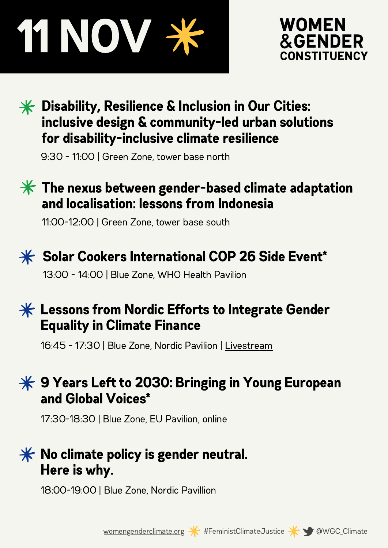# 11 NOV



#### $*$  Disability, Resilience & Inclusion in Our Cities: inclusive design & community-led urban solutions for disability-inclusive climate resilience

9:30 - 11:00 | Green Zone, tower base north

#### $\mathbf{\ast}$  The nexus between gender-based climate adaptation and localisation: lessons from Indonesia

11:00-12:00 | Green Zone, tower base south



#### $*$  Solar Cookers International COP 26 Side Event\*

13:00 - 14:00 | Blue Zone, WHO Health Pavilion

#### $*$  Lessons from Nordic Efforts to Integrate Gender Equality in Climate Finance

16:45 - 17:30 | Blue Zone, Nordic Pavilion | [Livestream](https://www.wedonthavetime.org/event/cop26)

#### $¥$  **9 Years Left to 2030: Bringing in Young European** and Global Voices\*

17:30-18:30 | Blue Zone, EU Pavilion, online

#### $*$  No climate policy is gender neutral. Here is why.

18:00-19:00 | Blue Zone, Nordic Pavillion